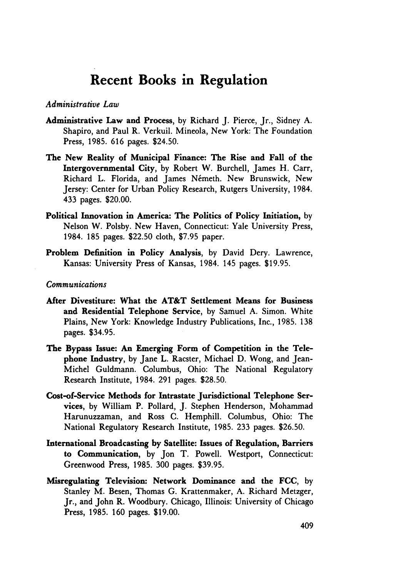# **Recent Books in Regulation**

## *Administrative Law*

- Administrative Law and Process, by Richard J. Pierce, Jr., Sidney A. Shapiro, and Paul R. Verkuil. Mineola, New York: The Foundation Press, 1985. 616 pages. \$24.50.
- The New Reality of Municipal Finance: The Rise and Fall of the Intergovernmental City, **by** Robert W. Burchell, James H. Carr, Richard L. Florida, and James Németh. New Brunswick, New Jersey: Center for Urban Policy Research, Rutgers University, 1984. 433 pages. \$20.00.
- Political Innovation in America: The Politics of Policy Initiation, **by** Nelson W. Polsby. New Haven, Connecticut: Yale University Press, 1984. 185 pages. \$22.50 cloth, \$7.95 paper.
- Problem Definition in Policy Analysis, by David Dery. Lawrence, Kansas: University Press of Kansas, 1984. 145 pages. \$19.95.

## *Communications*

- After Divestiture: What the AT&T Settlement Means for Business and Residential Telephone Service, **by** Samuel **A.** Simon. White Plains, New York: Knowledge Industry Publications, Inc., **1985. 138** pages. \$34.95.
- The Bypass Issue: An Emerging Form of Competition in the Telephone Industry, **by** Jane L. Racster, Michael **D.** Wong, and Jean-Michel Guldmann. Columbus, Ohio: The National Regulatory Research Institute, 1984. 291 pages. \$28.50.
- Cost-of-Service Methods for Intrastate Jurisdictional Telephone Services, **by** William P. Pollard, **J.** Stephen Henderson, Mohammad Harunuzzaman, and Ross **C.** Hemphill. Columbus, Ohio: The National Regulatory Research Institute, **1985.** 233 pages. **\$26.50.**
- International Broadcasting **by** Satellite: Issues of Regulation, Barriers to Communication, **by** Jon T. Powell. Westport, Connecticut: Greenwood Press, **1985. 300** pages. **\$39.95.**
- Misregulating Television: Network Dominance and the **FCC, by** Stanley M. Besen, Thomas **G.** Krattenmaker, **A.** Richard Metzger, Jr., and John R. Woodbury. Chicago, Illinois: University of Chicago Press, **1985. 160** pages. **\$19.00.**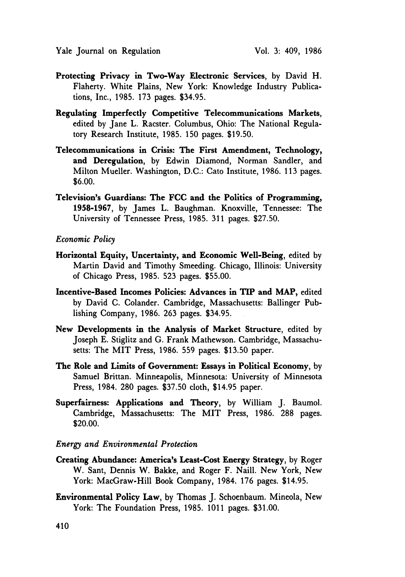- Protecting Privacy in Two-Way Electronic Services, by David H. Flaherty. White Plains, New York: Knowledge Industry Publications, Inc., 1985. 173 pages. \$34.95.
- Regulating Imperfectly Competitive Telecommunications Markets, edited by Jane L. Racster. Columbus, Ohio: The National Regulatory Research Institute, 1985. **150** pages. \$19.50.
- Telecommunications in Crisis: The First Amendment, Technology, and Deregulation, by Edwin Diamond, Norman Sandier, and Milton Mueller. Washington, **D.C.:** Cato Institute, **1986. 113** pages. \$6.00.
- Television's Guardians: The **FCC** and the Politics of Programming, 1958-1967, by James L. Baughman. Knoxville, Tennessee: The University of Tennessee Press, 1985. 311 pages. \$27.50.

## *Economic Policy*

- Horizontal Equity, Uncertainty, and Economic Well-Being, edited by Martin David and Timothy Smeeding. Chicago, Illinois: University of Chicago Press, 1985. 523 pages. \$55.00.
- Incentive-Based Incomes Policies: Advances in TIP and MAP, edited by David C. Colander. Cambridge, Massachusetts: Ballinger Publishing Company, 1986. 263 pages. \$34.95.
- New Developments in the Analysis of Market Structure, edited by Joseph E. Stiglitz and G. Frank Mathewson. Cambridge, Massachusetts: The MIT Press, 1986. 559 pages. \$13.50 paper.
- The Role and Limits of Government: Essays in Political Economy, **by** Samuel Brittan. Minneapolis, Minnesota: University of Minnesota Press, 1984. 280 pages. \$37.50 cloth, \$14.95 paper.
- Superfairness: Applications and Theory, by William J. Baumol. Cambridge, Massachusetts: The MIT Press, 1986. 288 pages. \$20.00.

# *Energy and Environmental Protection*

- Creating Abundance: America's Least-Cost Energy Strategy, by Roger W. Sant, Dennis W. Bakke, and Roger F. Naill. New York, New York: MacGraw-Hill Book Company, 1984. 176 pages. \$14.95.
- Environmental Policy Law, by Thomas J. Schoenbaum. Mineola, New York: The Foundation Press, 1985. 1011 pages. \$31.00.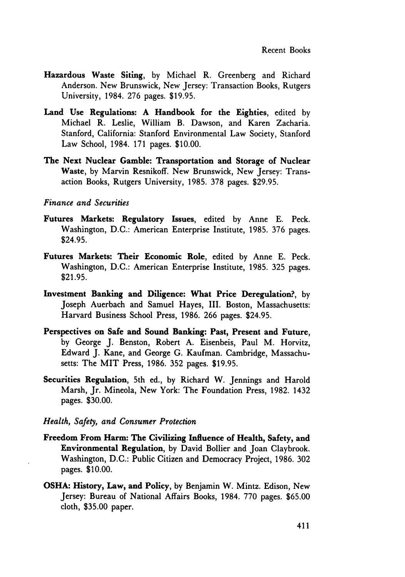- Hazardous Waste Siting, **by** Michael R. Greenberg and Richard Anderson. New Brunswick, New Jersey: Transaction Books, Rutgers University, 1984. **276** pages. **\$19.95.**
- Land Use Regulations: **A** Handbook for the Eighties, edited **by** Michael R. Leslie, William B. Dawson, and Karen Zacharia. Stanford, California: Stanford Environmental Law Society, Stanford Law School, 1984. **171** pages. **\$10.00.**
- The Next Nuclear Gamble: Transportation and Storage of Nuclear Waste, **by** Marvin Resnikoff. New Brunswick, New Jersey: Transaction Books, Rutgers University, **1985. 378** pages. **\$29.95.**

## *Finance and Securities*

- Futures Markets: Regulatory Issues, edited **by** Anne **E.** Peck. Washington, **D.C.:** American Enterprise Institute, **1985. 376** pages. \$24.95.
- Futures Markets: Their Economic Role, edited **by** Anne **E.** Peck. Washington, **D.C.:** American Enterprise Institute, **1985. 325** pages. **\$21.95.**
- Investment Banking and Diligence: What Price Deregulation?, **by** Joseph Auerbach and Samuel Hayes, III. Boston, Massachusetts: Harvard Business School Press, **1986. 266** pages. \$24.95.
- Perspectives on Safe and Sound Banking: Past, Present and Future, **by** George **J.** Benston, Robert **A.** Eisenbeis, Paul M. Horvitz, Edward **J.** Kane, and George **G.** Kaufman. Cambridge, Massachusetts: The MIT Press, **1986. 352** pages. **\$19.95.**
- Securities Regulation, 5th ed., **by** Richard W. Jennings and Harold Marsh, Jr. Mineola, New York: The Foundation Press, **1982.** 1432 pages. **\$30.00.**

# *Health, Safety, and Consumer Protection*

- Freedom From Harm: The Civilizing Influence of Health, Safety, and Environmental Regulation, **by** David Bollier and Joan Claybrook. Washington, **D.C.:** Public Citizen and Democracy Project, **1986. 302** pages. **\$10.00.**
- **OSHA:** History, Law, and Policy, **by** Benjamin W. Mintz. Edison, New Jersey: Bureau of National Affairs Books, 1984. **770** pages. **\$65.00** cloth, **\$35.00** paper.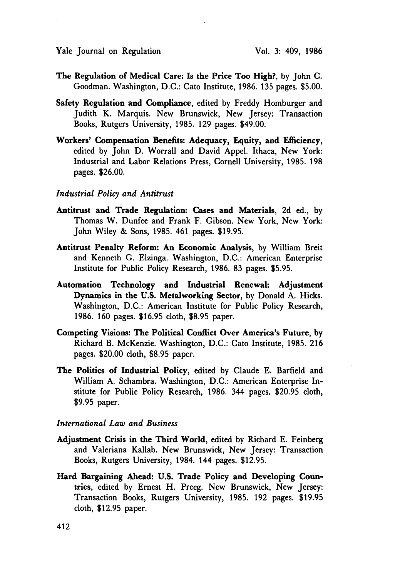- The Regulation of Medical Care: Is the Price Too High?, by John C. Goodman. Washington, **D.C.:** Cato Institute, **1986. 135** pages. **\$5.00.**
- Safety Regulation and Compliance, edited **by** Freddy Homburger and Judith K. Marquis. New Brunswick, New Jersey: Transaction Books, Rutgers University, **1985. 129** pages. \$49.00.
- Workers' Compensation Benefits: Adequacy, Equity, and Efficiency, edited **by** John **D.** Worrall and David Appel. Ithaca, New York: Industrial and Labor Relations Press, Cornell University, **1985. 198** pages. **\$26.00.**

#### *Industrial Policy and Antitrust*

- **Antitrust and Trade Regulation: Cases and Materials, 2d ed., by** Thomas W. Dunfee and Frank F. Gibson. New York, New York: John Wiley **&** Sons, **1985.** 461 pages. **\$19.95.**
- Antitrust Penalty Reform: An Economic Analysis, **by** William Breit and Kenneth **G.** Elzinga. Washington, **D.C.:** American Enterprise Institute for Public Policy Research, **1986. 83** pages. **\$5.95.**
- Automation Technology and Industrial Renewal: Adjustment Dynamics in the **U.S.** Metalworking Sector, **by** Donald **A.** Hicks. Washington, **D.C.:** American Institute for Public Policy Research, **1986. 160** pages. **\$16.95** cloth, **\$8.95** paper.
- Competing Visions: The Political Conflict **Over America's Future, by** Richard B. McKenzie. Washington, **D.C.:** Cato Institute, **1985. 216** pages. \$20.00 cloth, **\$8.95** paper.
- The Politics of Industrial Policy, edited **by** Claude **E.** Barfield and William **A.** Schambra. Washington, **D.C.:** American Enterprise Institute for Public Policy Research, **1986.** 344 pages. **\$20.95** cloth, **\$9.95** paper.

## *International Law and Business*

- Adjustment Crisis in the Third World, edited **by** Richard **E.** Feinberg and Valeriana Kallab. New Brunswick, New Jersey: Transaction Books, Rutgers University, 1984. 144 pages. **\$12.95.**
- **Hard Bargaining Ahead: U.S. Trade Policy and Developing Coun**tries, edited **by** Ernest H. Preeg. New Brunswick, New Jersey: Transaction Books, Rutgers University, **1985. 192** pages. **\$19.95** cloth, **\$12.95** paper.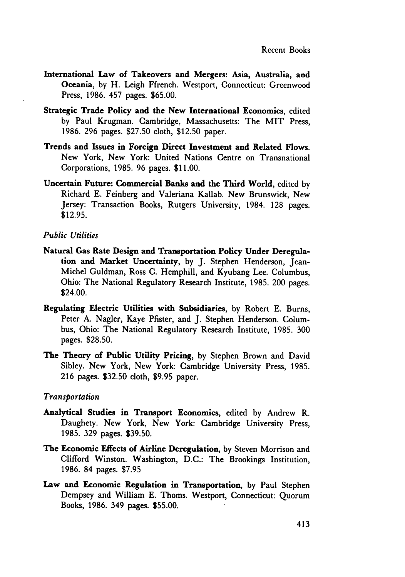- International Law of Takeovers and Mergers: Asia, Australia, and Oceania, **by** H. Leigh Ffrench. Westport, Connecticut: Greenwood Press, **1986.** 457 pages. **\$65.00.**
- Strategic Trade Policy and the New International Economics, edited **by** Paul Krugman. Cambridge, Massachusetts: The MIT Press, 1986. 296 pages. \$27.50 cloth, \$12.50 paper.
- Trends and Issues in Foreign Direct Investment and Related Flows. New York, New York: United Nations Centre on Transnational Corporations, 1985. 96 pages. \$11.00.
- Uncertain Future: Commercial **Banks** and the Third World, edited by Richard **E.** Feinberg and Valeriana Kallab. New Brunswick, New Jersey: Transaction Books, Rutgers University, 1984. **128** pages. \$12.95.

## *Public Utilities*

- Natural Gas Rate Design and Transportation Policy Under Deregulation and Market Uncertainty, **by J.** Stephen Henderson, Jean-Michel Guldman, Ross **C.** Hemphill, and Kyubang Lee. Columbus, Ohio: The National Regulatory Research Institute, **1985.** 200 pages. \$24.00.
- Regulating Electric Utilities with Subsidiaries, **by** Robert **E.** Burns, Peter **A.** Nagler, Kaye Pfister, and **J.** Stephen Henderson. Columbus, Ohio: The National Regulatory Research Institute, 1985. **300** pages. **\$28.50.**
- The Theory of Public Utility Pricing, **by** Stephen Brown and David Sibley. New York, New York: Cambridge University Press, 1985. 216 pages. \$32.50 cloth, **\$9.95** paper.

## *Transportation*

- Analytical Studies in Transport Economics, edited **by** Andrew R. Daughety. New York, New York: Cambridge University Press, 1985. 329 pages. \$39.50.
- The Economic Effects of Airline Deregulation, by Steven Morrison and Clifford Winston. Washington, D.C.: The Brookings Institution, 1986. 84 pages. \$7.95
- Law and Economic Regulation in Transportation, by Paul Stephen Dempsey and William E. Thoms. Westport, Connecticut: Quorum Books, 1986. 349 pages. \$55.00.